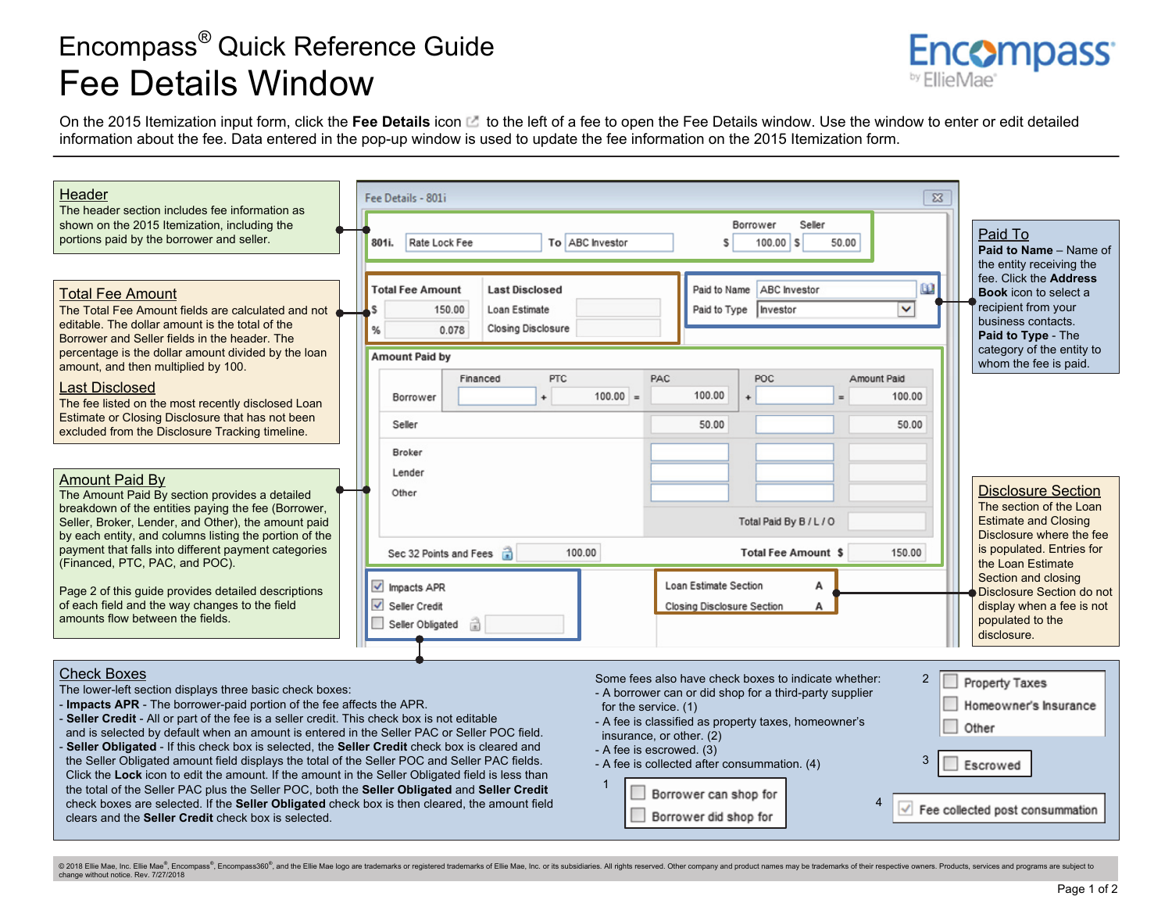## Encompass*®* Quick Reference Guide Fee Details Window



On the 2015 Itemization input form, click the Fee Details icon to the left of a fee to open the Fee Details window. Use the window to enter or edit detailed information about the fee. Data entered in the pop-up window is used to update the fee information on the 2015 Itemization form.

| Header<br>The header section includes fee information as<br>shown on the 2015 Itemization, including the<br>portions paid by the borrower and seller.                                                                                                                                                                                                                                                                                                                                                                                                                                                                                                                                                                                                                                                                                                                                                            | $\Sigma$<br>Fee Details - 801i<br>Borrower<br>Seller<br>Rate Lock Fee<br>To ABC Investor<br>801i.<br>50.00<br>S<br>$100.00$ S                                                                                                                                                                                                                                                                                  | Paid To<br>Paid to Name - Name of<br>the entity receiving the                                                                                                                                                                                                                         |
|------------------------------------------------------------------------------------------------------------------------------------------------------------------------------------------------------------------------------------------------------------------------------------------------------------------------------------------------------------------------------------------------------------------------------------------------------------------------------------------------------------------------------------------------------------------------------------------------------------------------------------------------------------------------------------------------------------------------------------------------------------------------------------------------------------------------------------------------------------------------------------------------------------------|----------------------------------------------------------------------------------------------------------------------------------------------------------------------------------------------------------------------------------------------------------------------------------------------------------------------------------------------------------------------------------------------------------------|---------------------------------------------------------------------------------------------------------------------------------------------------------------------------------------------------------------------------------------------------------------------------------------|
| <b>Total Fee Amount</b><br>The Total Fee Amount fields are calculated and not<br>editable. The dollar amount is the total of the<br>Borrower and Seller fields in the header. The<br>percentage is the dollar amount divided by the loan<br>amount, and then multiplied by 100.<br><b>Last Disclosed</b><br>The fee listed on the most recently disclosed Loan<br>Estimate or Closing Disclosure that has not been<br>excluded from the Disclosure Tracking timeline.                                                                                                                                                                                                                                                                                                                                                                                                                                            | $\omega$<br>ABC Investor<br><b>Last Disclosed</b><br><b>Total Fee Amount</b><br>Paid to Name<br>$\checkmark$<br>150.00<br>Loan Estimate<br>Paid to Type<br>Investor<br><b>Closing Disclosure</b><br>0.078<br>%<br><b>Amount Paid by</b><br><b>PTC</b><br>PAC<br><b>POC</b><br>Financed<br>Amount Paid<br>100.00<br>$100.00 =$<br>100.00<br>$\ddot{\phantom{1}}$<br>Borrower<br>$=$<br>50.00<br>Seller<br>50.00 | fee. Click the <b>Address</b><br><b>Book</b> icon to select a<br>recipient from your<br>business contacts.<br>Paid to Type - The<br>category of the entity to<br>whom the fee is paid.                                                                                                |
| <b>Amount Paid By</b><br>The Amount Paid By section provides a detailed<br>breakdown of the entities paying the fee (Borrower,<br>Seller, Broker, Lender, and Other), the amount paid<br>by each entity, and columns listing the portion of the<br>payment that falls into different payment categories<br>(Financed, PTC, PAC, and POC).<br>Page 2 of this quide provides detailed descriptions<br>of each field and the way changes to the field<br>amounts flow between the fields.                                                                                                                                                                                                                                                                                                                                                                                                                           | <b>Broker</b><br>Lender<br>Other<br>Total Paid By B / L / O<br>100.00<br><b>Total Fee Amount \$</b><br>150.00<br>Sec 32 Points and Fees<br>Loan Estimate Section<br>$\sqrt{\phantom{a}}$ Impacts APR<br>A<br>$\overline{\smile}$ Seller Credit<br>Closing Disclosure Section<br>А<br>Seller Obligated                                                                                                          | <b>Disclosure Section</b><br>The section of the Loan<br><b>Estimate and Closing</b><br>Disclosure where the fee<br>is populated. Entries for<br>the Loan Estimate<br>Section and closing<br>Disclosure Section do not<br>display when a fee is not<br>populated to the<br>disclosure. |
| <b>Check Boxes</b><br>The lower-left section displays three basic check boxes:<br>- Impacts APR - The borrower-paid portion of the fee affects the APR.<br>Seller Credit - All or part of the fee is a seller credit. This check box is not editable<br>and is selected by default when an amount is entered in the Seller PAC or Seller POC field.<br>Seller Obligated - If this check box is selected, the Seller Credit check box is cleared and<br>the Seller Obligated amount field displays the total of the Seller POC and Seller PAC fields.<br>Click the Lock icon to edit the amount. If the amount in the Seller Obligated field is less than<br>the total of the Seller PAC plus the Seller POC, both the Seller Obligated and Seller Credit<br>check boxes are selected. If the Seller Obligated check box is then cleared, the amount field<br>clears and the Seller Credit check box is selected. | Some fees also have check boxes to indicate whether:<br>2<br>- A borrower can or did shop for a third-party supplier<br>for the service. (1)<br>- A fee is classified as property taxes, homeowner's<br>Other<br>insurance, or other. (2)<br>- A fee is escrowed. (3)<br>3<br>- A fee is collected after consummation. (4)<br>Escrowed<br>Borrower can shop for<br>Borrower did shop for                       | Property Taxes<br>Homeowner's Insurance<br>Fee collected post consummation                                                                                                                                                                                                            |

© 2018 Ellie Mae, Inc. Ellie Mae®, Encompass®, Encompass360®, and the Ellie Mae logo are trademarks or registered trademarks of Ellie Mae, Inc. or its subsidiaries. All rights reserved. Other company and product names may